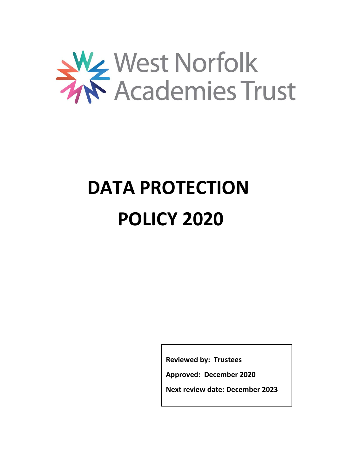

# **DATA PROTECTION POLICY 2020**

**Reviewed by: Trustees**

**Approved: December 2020**

**Next review date: December 2023**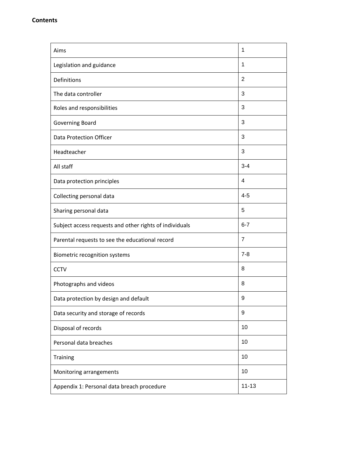| Aims                                                    | 1              |
|---------------------------------------------------------|----------------|
| Legislation and guidance                                | 1              |
| Definitions                                             | $\overline{2}$ |
| The data controller                                     | 3              |
| Roles and responsibilities                              | 3              |
| <b>Governing Board</b>                                  | 3              |
| Data Protection Officer                                 | 3              |
| Headteacher                                             | 3              |
| All staff                                               | $3 - 4$        |
| Data protection principles                              | 4              |
| Collecting personal data                                | $4 - 5$        |
| Sharing personal data                                   | 5              |
| Subject access requests and other rights of individuals | $6 - 7$        |
| Parental requests to see the educational record         | $\overline{7}$ |
| Biometric recognition systems                           | $7 - 8$        |
| <b>CCTV</b>                                             | 8              |
| Photographs and videos                                  | 8              |
| Data protection by design and default                   | 9              |
| Data security and storage of records                    | 9              |
| Disposal of records                                     | 10             |
| Personal data breaches                                  | 10             |
| Training                                                | 10             |
| Monitoring arrangements                                 | 10             |
| Appendix 1: Personal data breach procedure              | $11 - 13$      |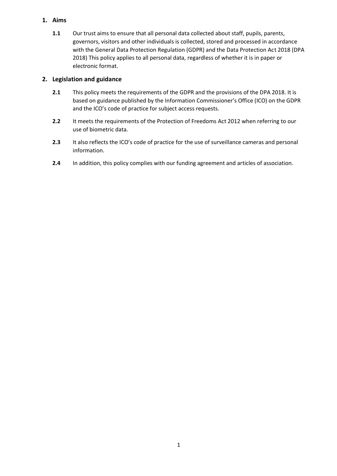# **1. Aims**

**1.1** Our trust aims to ensure that all personal data collected about staff, pupils, parents, governors, visitors and other individuals is collected, stored and processed in accordance with the General Data Protection Regulation (GDPR) and the Data Protection Act 2018 (DPA 2018) This policy applies to all personal data, regardless of whether it is in paper or electronic format.

# **2. Legislation and guidance**

- **2.1** This policy meets the requirements of the GDPR and the provisions of the DPA 2018. It is based on guidance published by the Information Commissioner's Office (ICO) on the GDPR and the ICO's code of practice for subject access requests.
- **2.2** It meets the requirements of the Protection of Freedoms Act 2012 when referring to our use of biometric data.
- **2.3** It also reflects the ICO's code of practice for the use of surveillance cameras and personal information.
- **2.4** In addition, this policy complies with our funding agreement and articles of association.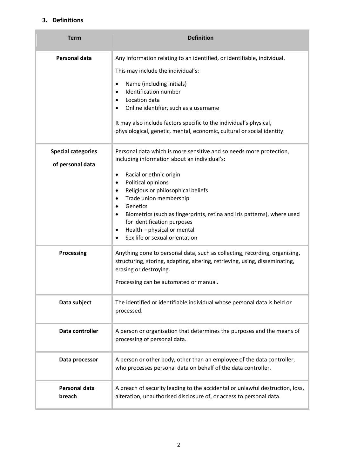# **3. Definitions**

| <b>Term</b>                                   | <b>Definition</b>                                                                                                                                                                                                                                                                                                                                                                                                                                                                                                                                                                     |
|-----------------------------------------------|---------------------------------------------------------------------------------------------------------------------------------------------------------------------------------------------------------------------------------------------------------------------------------------------------------------------------------------------------------------------------------------------------------------------------------------------------------------------------------------------------------------------------------------------------------------------------------------|
| <b>Personal data</b>                          | Any information relating to an identified, or identifiable, individual.<br>This may include the individual's:<br>Name (including initials)<br>٠<br><b>Identification number</b><br>$\bullet$<br>Location data<br>٠<br>Online identifier, such as a username<br>$\bullet$<br>It may also include factors specific to the individual's physical,                                                                                                                                                                                                                                        |
| <b>Special categories</b><br>of personal data | physiological, genetic, mental, economic, cultural or social identity.<br>Personal data which is more sensitive and so needs more protection,<br>including information about an individual's:<br>Racial or ethnic origin<br>٠<br>Political opinions<br>$\bullet$<br>Religious or philosophical beliefs<br>٠<br>Trade union membership<br>$\bullet$<br>Genetics<br>$\bullet$<br>Biometrics (such as fingerprints, retina and iris patterns), where used<br>٠<br>for identification purposes<br>Health - physical or mental<br>$\bullet$<br>Sex life or sexual orientation<br>$\bullet$ |
| <b>Processing</b>                             | Anything done to personal data, such as collecting, recording, organising,<br>structuring, storing, adapting, altering, retrieving, using, disseminating,<br>erasing or destroying.<br>Processing can be automated or manual.                                                                                                                                                                                                                                                                                                                                                         |
| Data subject                                  | The identified or identifiable individual whose personal data is held or<br>processed.                                                                                                                                                                                                                                                                                                                                                                                                                                                                                                |
| Data controller                               | A person or organisation that determines the purposes and the means of<br>processing of personal data.                                                                                                                                                                                                                                                                                                                                                                                                                                                                                |
| Data processor                                | A person or other body, other than an employee of the data controller,<br>who processes personal data on behalf of the data controller.                                                                                                                                                                                                                                                                                                                                                                                                                                               |
| <b>Personal data</b><br>breach                | A breach of security leading to the accidental or unlawful destruction, loss,<br>alteration, unauthorised disclosure of, or access to personal data.                                                                                                                                                                                                                                                                                                                                                                                                                                  |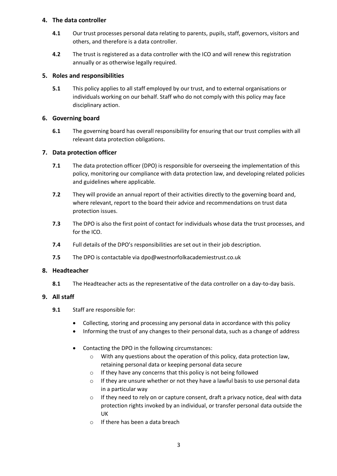# **4. The data controller**

- **4.1** Our trust processes personal data relating to parents, pupils, staff, governors, visitors and others, and therefore is a data controller.
- **4.2** The trust is registered as a data controller with the ICO and will renew this registration annually or as otherwise legally required.

# **5. Roles and responsibilities**

**5.1** This policy applies to all staff employed by our trust, and to external organisations or individuals working on our behalf. Staff who do not comply with this policy may face disciplinary action.

# **6. Governing board**

**6.1** The governing board has overall responsibility for ensuring that our trust complies with all relevant data protection obligations.

# **7. Data protection officer**

- **7.1** The data protection officer (DPO) is responsible for overseeing the implementation of this policy, monitoring our compliance with data protection law, and developing related policies and guidelines where applicable.
- **7.2** They will provide an annual report of their activities directly to the governing board and, where relevant, report to the board their advice and recommendations on trust data protection issues.
- **7.3** The DPO is also the first point of contact for individuals whose data the trust processes, and for the ICO.
- **7.4** Full details of the DPO's responsibilities are set out in their job description.
- **7.5** The DPO is contactable via dpo@westnorfolkacademiestrust.co.uk

# **8. Headteacher**

**8.1** The Headteacher acts as the representative of the data controller on a day-to-day basis.

# **9. All staff**

- **9.1** Staff are responsible for:
	- Collecting, storing and processing any personal data in accordance with this policy
	- Informing the trust of any changes to their personal data, such as a change of address
	- Contacting the DPO in the following circumstances:
		- o With any questions about the operation of this policy, data protection law, retaining personal data or keeping personal data secure
		- o If they have any concerns that this policy is not being followed
		- o If they are unsure whether or not they have a lawful basis to use personal data in a particular way
		- $\circ$  If they need to rely on or capture consent, draft a privacy notice, deal with data protection rights invoked by an individual, or transfer personal data outside the UK
		- o If there has been a data breach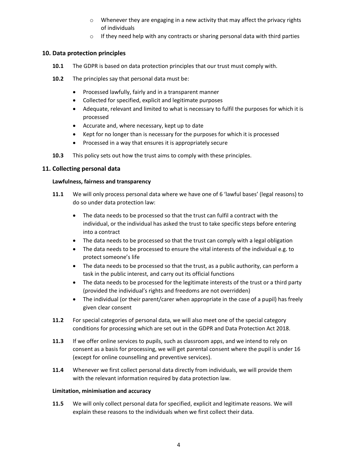- $\circ$  Whenever they are engaging in a new activity that may affect the privacy rights of individuals
- o If they need help with any contracts or sharing personal data with third parties

## **10. Data protection principles**

- **10.1** The GDPR is based on data protection principles that our trust must comply with.
- **10.2** The principles say that personal data must be:
	- Processed lawfully, fairly and in a transparent manner
	- Collected for specified, explicit and legitimate purposes
	- Adequate, relevant and limited to what is necessary to fulfil the purposes for which it is processed
	- Accurate and, where necessary, kept up to date
	- Kept for no longer than is necessary for the purposes for which it is processed
	- Processed in a way that ensures it is appropriately secure
- **10.3** This policy sets out how the trust aims to comply with these principles.

## **11. Collecting personal data**

#### **Lawfulness, fairness and transparency**

- **11.1** We will only process personal data where we have one of 6 'lawful bases' (legal reasons) to do so under data protection law:
	- The data needs to be processed so that the trust can fulfil a contract with the individual, or the individual has asked the trust to take specific steps before entering into a contract
	- The data needs to be processed so that the trust can comply with a legal obligation
	- The data needs to be processed to ensure the vital interests of the individual e.g. to protect someone's life
	- The data needs to be processed so that the trust, as a public authority, can perform a task in the public interest, and carry out its official functions
	- The data needs to be processed for the legitimate interests of the trust or a third party (provided the individual's rights and freedoms are not overridden)
	- The individual (or their parent/carer when appropriate in the case of a pupil) has freely given clear consent
- **11.2** For special categories of personal data, we will also meet one of the special category conditions for processing which are set out in the GDPR and Data Protection Act 2018.
- **11.3** If we offer online services to pupils, such as classroom apps, and we intend to rely on consent as a basis for processing, we will get parental consent where the pupil is under 16 (except for online counselling and preventive services).
- **11.4** Whenever we first collect personal data directly from individuals, we will provide them with the relevant information required by data protection law.

#### **Limitation, minimisation and accuracy**

**11.5** We will only collect personal data for specified, explicit and legitimate reasons. We will explain these reasons to the individuals when we first collect their data.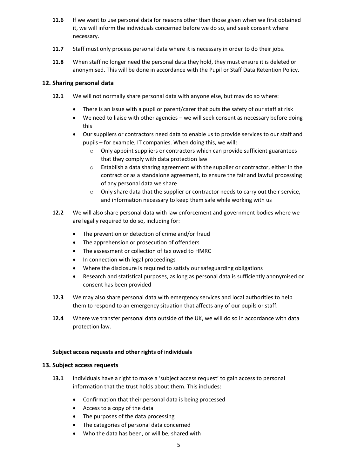- **11.6** If we want to use personal data for reasons other than those given when we first obtained it, we will inform the individuals concerned before we do so, and seek consent where necessary.
- **11.7** Staff must only process personal data where it is necessary in order to do their jobs.
- **11.8** When staff no longer need the personal data they hold, they must ensure it is deleted or anonymised. This will be done in accordance with the Pupil or Staff Data Retention Policy.

## **12. Sharing personal data**

- **12.1** We will not normally share personal data with anyone else, but may do so where:
	- There is an issue with a pupil or parent/carer that puts the safety of our staff at risk
	- We need to liaise with other agencies we will seek consent as necessary before doing this
	- Our suppliers or contractors need data to enable us to provide services to our staff and pupils – for example, IT companies. When doing this, we will:
		- o Only appoint suppliers or contractors which can provide sufficient guarantees that they comply with data protection law
		- $\circ$  Establish a data sharing agreement with the supplier or contractor, either in the contract or as a standalone agreement, to ensure the fair and lawful processing of any personal data we share
		- $\circ$  Only share data that the supplier or contractor needs to carry out their service, and information necessary to keep them safe while working with us
- **12.2** We will also share personal data with law enforcement and government bodies where we are legally required to do so, including for:
	- The prevention or detection of crime and/or fraud
	- The apprehension or prosecution of offenders
	- The assessment or collection of tax owed to HMRC
	- In connection with legal proceedings
	- Where the disclosure is required to satisfy our safeguarding obligations
	- Research and statistical purposes, as long as personal data is sufficiently anonymised or consent has been provided
- **12.3** We may also share personal data with emergency services and local authorities to help them to respond to an emergency situation that affects any of our pupils or staff.
- **12.4** Where we transfer personal data outside of the UK, we will do so in accordance with data protection law.

#### **Subject access requests and other rights of individuals**

#### **13. Subject access requests**

- **13.1** Individuals have a right to make a 'subject access request' to gain access to personal information that the trust holds about them. This includes:
	- Confirmation that their personal data is being processed
	- Access to a copy of the data
	- The purposes of the data processing
	- The categories of personal data concerned
	- Who the data has been, or will be, shared with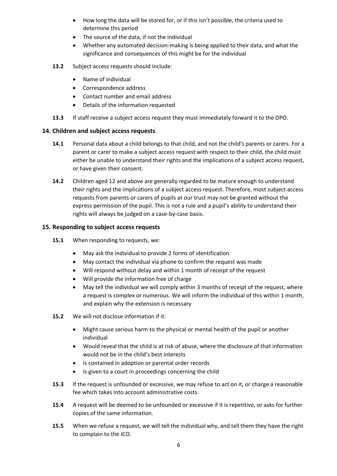- How long the data will be stored for, or if this isn't possible, the criteria used to determine this period
- The source of the data, if not the individual
- Whether any automated decision-making is being applied to their data, and what the significance and consequences of this might be for the individual
- **13.2** Subject access requests should include:
	- Name of individual
	- Correspondence address
	- Contact number and email address
	- Details of the information requested
- **13.3** If staff receive a subject access request they must immediately forward it to the DPO.

## **14. Children and subject access requests**

- **14.1** Personal data about a child belongs to that child, and not the child's parents or carers. For a parent or carer to make a subject access request with respect to their child, the child must either be unable to understand their rights and the implications of a subject access request, or have given their consent.
- **14.2** Children aged 12 and above are generally regarded to be mature enough to understand their rights and the implications of a subject access request. Therefore, most subject access requests from parents or carers of pupils at our trust may not be granted without the express permission of the pupil. This is not a rule and a pupil's ability to understand their rights will always be judged on a case-by-case basis.

#### **15. Responding to subject access requests**

- **15.1** When responding to requests, we:
	- May ask the individual to provide 2 forms of identification
	- May contact the individual via phone to confirm the request was made
	- Will respond without delay and within 1 month of receipt of the request
	- Will provide the information free of charge
	- May tell the individual we will comply within 3 months of receipt of the request, where a request is complex or numerous. We will inform the individual of this within 1 month, and explain why the extension is necessary
- **15.2** We will not disclose information if it:
	- Might cause serious harm to the physical or mental health of the pupil or another individual
	- Would reveal that the child is at risk of abuse, where the disclosure of that information would not be in the child's best interests
	- Is contained in adoption or parental order records
	- Is given to a court in proceedings concerning the child
- **15.3** If the request is unfounded or excessive, we may refuse to act on it, or charge a reasonable fee which takes into account administrative costs.
- **15.4** A request will be deemed to be unfounded or excessive if it is repetitive, or asks for further copies of the same information.
- **15.5** When we refuse a request, we will tell the individual why, and tell them they have the right to complain to the ICO.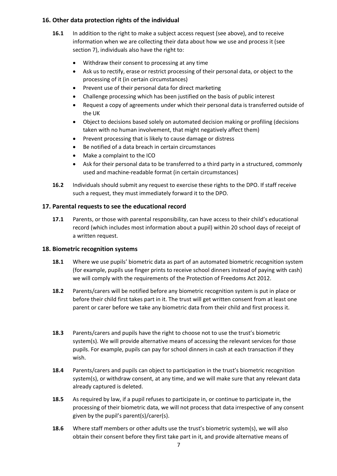# **16. Other data protection rights of the individual**

- **16.1** In addition to the right to make a subject access request (see above), and to receive information when we are collecting their data about how we use and process it (see section 7), individuals also have the right to:
	- Withdraw their consent to processing at any time
	- Ask us to rectify, erase or restrict processing of their personal data, or object to the processing of it (in certain circumstances)
	- Prevent use of their personal data for direct marketing
	- Challenge processing which has been justified on the basis of public interest
	- Request a copy of agreements under which their personal data is transferred outside of the UK
	- Object to decisions based solely on automated decision making or profiling (decisions taken with no human involvement, that might negatively affect them)
	- Prevent processing that is likely to cause damage or distress
	- Be notified of a data breach in certain circumstances
	- Make a complaint to the ICO
	- Ask for their personal data to be transferred to a third party in a structured, commonly used and machine-readable format (in certain circumstances)
- **16.2** Individuals should submit any request to exercise these rights to the DPO. If staff receive such a request, they must immediately forward it to the DPO.

# **17. Parental requests to see the educational record**

**17.1** Parents, or those with parental responsibility, can have access to their child's educational record (which includes most information about a pupil) within 20 school days of receipt of a written request.

# **18. Biometric recognition systems**

- **18.1** Where we use pupils' biometric data as part of an automated biometric recognition system (for example, pupils use finger prints to receive school dinners instead of paying with cash) we will comply with the requirements of the Protection of Freedoms Act 2012.
- **18.2** Parents/carers will be notified before any biometric recognition system is put in place or before their child first takes part in it. The trust will get written consent from at least one parent or carer before we take any biometric data from their child and first process it.
- **18.3** Parents/carers and pupils have the right to choose not to use the trust's biometric system(s). We will provide alternative means of accessing the relevant services for those pupils. For example, pupils can pay for school dinners in cash at each transaction if they wish.
- **18.4** Parents/carers and pupils can object to participation in the trust's biometric recognition system(s), or withdraw consent, at any time, and we will make sure that any relevant data already captured is deleted.
- **18.5** As required by law, if a pupil refuses to participate in, or continue to participate in, the processing of their biometric data, we will not process that data irrespective of any consent given by the pupil's parent(s)/carer(s).
- **18.6** Where staff members or other adults use the trust's biometric system(s), we will also obtain their consent before they first take part in it, and provide alternative means of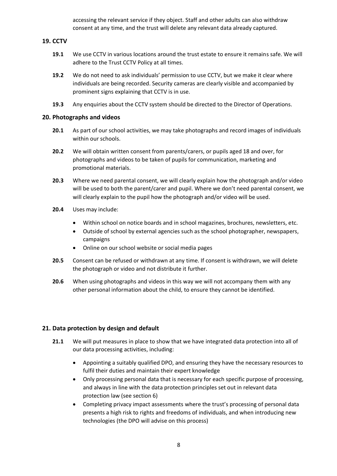accessing the relevant service if they object. Staff and other adults can also withdraw consent at any time, and the trust will delete any relevant data already captured.

# **19. CCTV**

- **19.1** We use CCTV in various locations around the trust estate to ensure it remains safe. We will adhere to the Trust CCTV Policy at all times.
- **19.2** We do not need to ask individuals' permission to use CCTV, but we make it clear where individuals are being recorded. Security cameras are clearly visible and accompanied by prominent signs explaining that CCTV is in use.
- **19.3** Any enquiries about the CCTV system should be directed to the Director of Operations.

## **20. Photographs and videos**

- **20.1** As part of our school activities, we may take photographs and record images of individuals within our schools.
- **20.2** We will obtain written consent from parents/carers, or pupils aged 18 and over, for photographs and videos to be taken of pupils for communication, marketing and promotional materials.
- **20.3** Where we need parental consent, we will clearly explain how the photograph and/or video will be used to both the parent/carer and pupil. Where we don't need parental consent, we will clearly explain to the pupil how the photograph and/or video will be used.
- **20.4** Uses may include:
	- Within school on notice boards and in school magazines, brochures, newsletters, etc.
	- Outside of school by external agencies such as the school photographer, newspapers, campaigns
	- Online on our school website or social media pages
- **20.5** Consent can be refused or withdrawn at any time. If consent is withdrawn, we will delete the photograph or video and not distribute it further.
- **20.6** When using photographs and videos in this way we will not accompany them with any other personal information about the child, to ensure they cannot be identified.

# **21. Data protection by design and default**

- **21.1** We will put measures in place to show that we have integrated data protection into all of our data processing activities, including:
	- Appointing a suitably qualified DPO, and ensuring they have the necessary resources to fulfil their duties and maintain their expert knowledge
	- Only processing personal data that is necessary for each specific purpose of processing, and always in line with the data protection principles set out in relevant data protection law (see section 6)
	- Completing privacy impact assessments where the trust's processing of personal data presents a high risk to rights and freedoms of individuals, and when introducing new technologies (the DPO will advise on this process)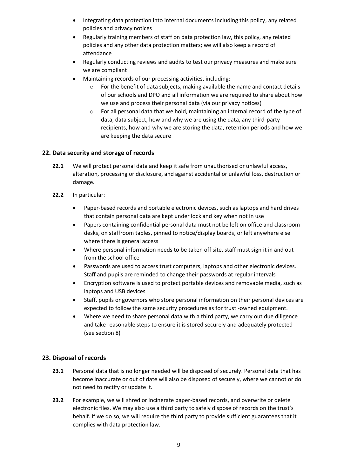- Integrating data protection into internal documents including this policy, any related policies and privacy notices
- Regularly training members of staff on data protection law, this policy, any related policies and any other data protection matters; we will also keep a record of attendance
- Regularly conducting reviews and audits to test our privacy measures and make sure we are compliant
- Maintaining records of our processing activities, including:
	- $\circ$  For the benefit of data subjects, making available the name and contact details of our schools and DPO and all information we are required to share about how we use and process their personal data (via our privacy notices)
	- $\circ$  For all personal data that we hold, maintaining an internal record of the type of data, data subject, how and why we are using the data, any third-party recipients, how and why we are storing the data, retention periods and how we are keeping the data secure

# **22. Data security and storage of records**

- **22.1** We will protect personal data and keep it safe from unauthorised or unlawful access, alteration, processing or disclosure, and against accidental or unlawful loss, destruction or damage.
- **22.2** In particular:
	- Paper-based records and portable electronic devices, such as laptops and hard drives that contain personal data are kept under lock and key when not in use
	- Papers containing confidential personal data must not be left on office and classroom desks, on staffroom tables, pinned to notice/display boards, or left anywhere else where there is general access
	- Where personal information needs to be taken off site, staff must sign it in and out from the school office
	- Passwords are used to access trust computers, laptops and other electronic devices. Staff and pupils are reminded to change their passwords at regular intervals
	- Encryption software is used to protect portable devices and removable media, such as laptops and USB devices
	- Staff, pupils or governors who store personal information on their personal devices are expected to follow the same security procedures as for trust -owned equipment.
	- Where we need to share personal data with a third party, we carry out due diligence and take reasonable steps to ensure it is stored securely and adequately protected (see section 8)

# **23. Disposal of records**

- **23.1** Personal data that is no longer needed will be disposed of securely. Personal data that has become inaccurate or out of date will also be disposed of securely, where we cannot or do not need to rectify or update it.
- **23.2** For example, we will shred or incinerate paper-based records, and overwrite or delete electronic files. We may also use a third party to safely dispose of records on the trust's behalf. If we do so, we will require the third party to provide sufficient guarantees that it complies with data protection law.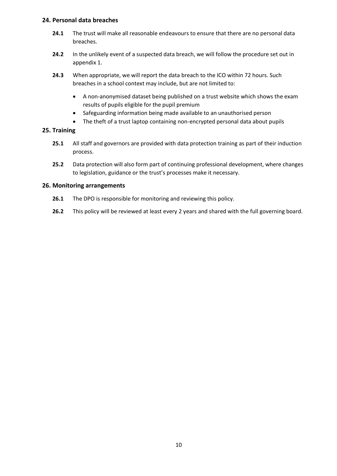## **24. Personal data breaches**

- **24.1** The trust will make all reasonable endeavours to ensure that there are no personal data breaches.
- **24.2** In the unlikely event of a suspected data breach, we will follow the procedure set out in appendix 1.
- **24.3** When appropriate, we will report the data breach to the ICO within 72 hours. Such breaches in a school context may include, but are not limited to:
	- A non-anonymised dataset being published on a trust website which shows the exam results of pupils eligible for the pupil premium
	- Safeguarding information being made available to an unauthorised person
	- The theft of a trust laptop containing non-encrypted personal data about pupils

## **25. Training**

- **25.1** All staff and governors are provided with data protection training as part of their induction process.
- **25.2** Data protection will also form part of continuing professional development, where changes to legislation, guidance or the trust's processes make it necessary.

## **26. Monitoring arrangements**

- **26.1** The DPO is responsible for monitoring and reviewing this policy.
- **26.2** This policy will be reviewed at least every 2 years and shared with the full governing board.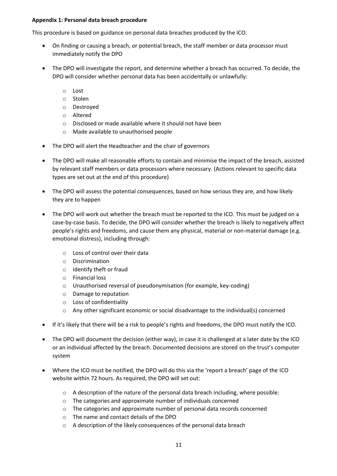## **Appendix 1: Personal data breach procedure**

This procedure is based on guidance on personal data breaches produced by the ICO.

- On finding or causing a breach, or potential breach, the staff member or data processor must immediately notify the DPO
- The DPO will investigate the report, and determine whether a breach has occurred. To decide, the DPO will consider whether personal data has been accidentally or unlawfully:
	- o Lost
	- o Stolen
	- o Destroyed
	- o Altered
	- o Disclosed or made available where it should not have been
	- o Made available to unauthorised people
- The DPO will alert the Headteacher and the chair of governors
- The DPO will make all reasonable efforts to contain and minimise the impact of the breach, assisted by relevant staff members or data processors where necessary. (Actions relevant to specific data types are set out at the end of this procedure)
- The DPO will assess the potential consequences, based on how serious they are, and how likely they are to happen
- The DPO will work out whether the breach must be reported to the ICO. This must be judged on a case-by-case basis. To decide, the DPO will consider whether the breach is likely to negatively affect people's rights and freedoms, and cause them any physical, material or non-material damage (e.g. emotional distress), including through:
	- o Loss of control over their data
	- o Discrimination
	- o Identify theft or fraud
	- o Financial loss
	- o Unauthorised reversal of pseudonymisation (for example, key-coding)
	- o Damage to reputation
	- o Loss of confidentiality
	- o Any other significant economic or social disadvantage to the individual(s) concerned
- If it's likely that there will be a risk to people's rights and freedoms, the DPO must notify the ICO.
- The DPO will document the decision (either way), in case it is challenged at a later date by the ICO or an individual affected by the breach. Documented decisions are stored on the trust's computer system
- Where the ICO must be notified, the DPO will do this via the 'report a breach' page of the ICO website within 72 hours. As required, the DPO will set out:
	- o A description of the nature of the personal data breach including, where possible:
	- o The categories and approximate number of individuals concerned
	- o The categories and approximate number of personal data records concerned
	- o The name and contact details of the DPO
	- o A description of the likely consequences of the personal data breach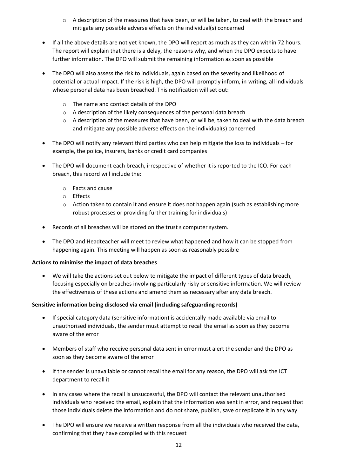- $\circ$  A description of the measures that have been, or will be taken, to deal with the breach and mitigate any possible adverse effects on the individual(s) concerned
- If all the above details are not yet known, the DPO will report as much as they can within 72 hours. The report will explain that there is a delay, the reasons why, and when the DPO expects to have further information. The DPO will submit the remaining information as soon as possible
- The DPO will also assess the risk to individuals, again based on the severity and likelihood of potential or actual impact. If the risk is high, the DPO will promptly inform, in writing, all individuals whose personal data has been breached. This notification will set out:
	- o The name and contact details of the DPO
	- $\circ$  A description of the likely consequences of the personal data breach
	- $\circ$  A description of the measures that have been, or will be, taken to deal with the data breach and mitigate any possible adverse effects on the individual(s) concerned
- The DPO will notify any relevant third parties who can help mitigate the loss to individuals for example, the police, insurers, banks or credit card companies
- The DPO will document each breach, irrespective of whether it is reported to the ICO. For each breach, this record will include the:
	- o Facts and cause
	- o Effects
	- $\circ$  Action taken to contain it and ensure it does not happen again (such as establishing more robust processes or providing further training for individuals)
- Records of all breaches will be stored on the trust s computer system.
- The DPO and Headteacher will meet to review what happened and how it can be stopped from happening again. This meeting will happen as soon as reasonably possible

# **Actions to minimise the impact of data breaches**

 We will take the actions set out below to mitigate the impact of different types of data breach, focusing especially on breaches involving particularly risky or sensitive information. We will review the effectiveness of these actions and amend them as necessary after any data breach.

# **Sensitive information being disclosed via email (including safeguarding records)**

- If special category data (sensitive information) is accidentally made available via email to unauthorised individuals, the sender must attempt to recall the email as soon as they become aware of the error
- Members of staff who receive personal data sent in error must alert the sender and the DPO as soon as they become aware of the error
- If the sender is unavailable or cannot recall the email for any reason, the DPO will ask the ICT department to recall it
- In any cases where the recall is unsuccessful, the DPO will contact the relevant unauthorised individuals who received the email, explain that the information was sent in error, and request that those individuals delete the information and do not share, publish, save or replicate it in any way
- The DPO will ensure we receive a written response from all the individuals who received the data, confirming that they have complied with this request